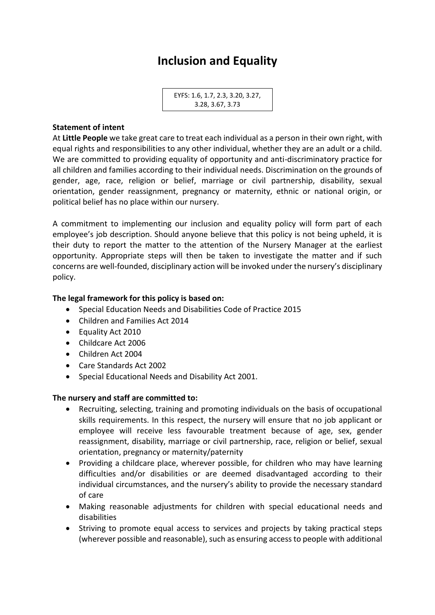# **Inclusion and Equality**

```
EYFS: 1.6, 1.7, 2.3, 3.20, 3.27, 
3.28, 3.67, 3.73
```
## **Statement of intent**

At **Little People** we take great care to treat each individual as a person in their own right, with equal rights and responsibilities to any other individual, whether they are an adult or a child. We are committed to providing equality of opportunity and anti-discriminatory practice for all children and families according to their individual needs. Discrimination on the grounds of gender, age, race, religion or belief, marriage or civil partnership, disability, sexual orientation, gender reassignment, pregnancy or maternity, ethnic or national origin, or political belief has no place within our nursery.

A commitment to implementing our inclusion and equality policy will form part of each employee's job description. Should anyone believe that this policy is not being upheld, it is their duty to report the matter to the attention of the Nursery Manager at the earliest opportunity. Appropriate steps will then be taken to investigate the matter and if such concerns are well-founded, disciplinary action will be invoked under the nursery's disciplinary policy.

## **The legal framework for this policy is based on:**

- Special Education Needs and Disabilities Code of Practice 2015
- Children and Families Act 2014
- Equality Act 2010
- Childcare Act 2006
- Children Act 2004
- Care Standards Act 2002
- Special Educational Needs and Disability Act 2001.

### **The nursery and staff are committed to:**

- Recruiting, selecting, training and promoting individuals on the basis of occupational skills requirements. In this respect, the nursery will ensure that no job applicant or employee will receive less favourable treatment because of age, sex, gender reassignment, disability, marriage or civil partnership, race, religion or belief, sexual orientation, pregnancy or maternity/paternity
- Providing a childcare place, wherever possible, for children who may have learning difficulties and/or disabilities or are deemed disadvantaged according to their individual circumstances, and the nursery's ability to provide the necessary standard of care
- Making reasonable adjustments for children with special educational needs and disabilities
- Striving to promote equal access to services and projects by taking practical steps (wherever possible and reasonable), such as ensuring access to people with additional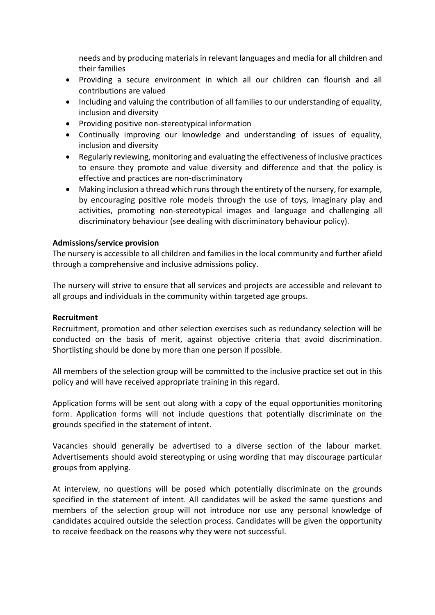needs and by producing materials in relevant languages and media for all children and their families

- Providing a secure environment in which all our children can flourish and all contributions are valued
- Including and valuing the contribution of all families to our understanding of equality, inclusion and diversity
- Providing positive non-stereotypical information
- Continually improving our knowledge and understanding of issues of equality, inclusion and diversity
- Regularly reviewing, monitoring and evaluating the effectiveness of inclusive practices to ensure they promote and value diversity and difference and that the policy is effective and practices are non-discriminatory
- Making inclusion a thread which runs through the entirety of the nursery, for example, by encouraging positive role models through the use of toys, imaginary play and activities, promoting non-stereotypical images and language and challenging all discriminatory behaviour (see dealing with discriminatory behaviour policy).

## **Admissions/service provision**

The nursery is accessible to all children and families in the local community and further afield through a comprehensive and inclusive admissions policy.

The nursery will strive to ensure that all services and projects are accessible and relevant to all groups and individuals in the community within targeted age groups.

### **Recruitment**

Recruitment, promotion and other selection exercises such as redundancy selection will be conducted on the basis of merit, against objective criteria that avoid discrimination. Shortlisting should be done by more than one person if possible.

All members of the selection group will be committed to the inclusive practice set out in this policy and will have received appropriate training in this regard.

Application forms will be sent out along with a copy of the equal opportunities monitoring form. Application forms will not include questions that potentially discriminate on the grounds specified in the statement of intent.

Vacancies should generally be advertised to a diverse section of the labour market. Advertisements should avoid stereotyping or using wording that may discourage particular groups from applying.

At interview, no questions will be posed which potentially discriminate on the grounds specified in the statement of intent. All candidates will be asked the same questions and members of the selection group will not introduce nor use any personal knowledge of candidates acquired outside the selection process. Candidates will be given the opportunity to receive feedback on the reasons why they were not successful.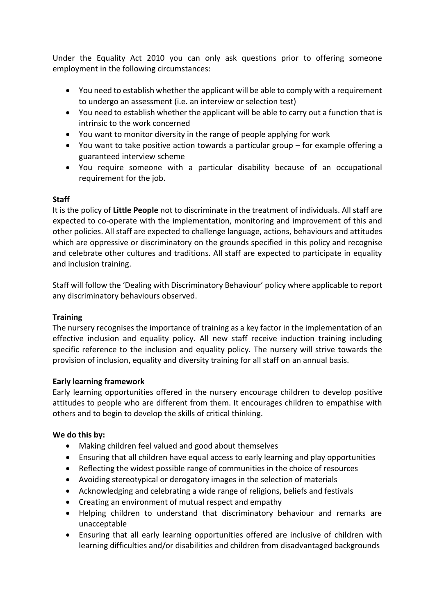Under the Equality Act 2010 you can only ask questions prior to offering someone employment in the following circumstances:

- You need to establish whether the applicant will be able to comply with a requirement to undergo an assessment (i.e. an interview or selection test)
- You need to establish whether the applicant will be able to carry out a function that is intrinsic to the work concerned
- You want to monitor diversity in the range of people applying for work
- You want to take positive action towards a particular group for example offering a guaranteed interview scheme
- You require someone with a particular disability because of an occupational requirement for the job.

## **Staff**

It is the policy of **Little People** not to discriminate in the treatment of individuals. All staff are expected to co-operate with the implementation, monitoring and improvement of this and other policies. All staff are expected to challenge language, actions, behaviours and attitudes which are oppressive or discriminatory on the grounds specified in this policy and recognise and celebrate other cultures and traditions. All staff are expected to participate in equality and inclusion training.

Staff will follow the 'Dealing with Discriminatory Behaviour' policy where applicable to report any discriminatory behaviours observed.

### **Training**

The nursery recognises the importance of training as a key factor in the implementation of an effective inclusion and equality policy. All new staff receive induction training including specific reference to the inclusion and equality policy. The nursery will strive towards the provision of inclusion, equality and diversity training for all staff on an annual basis.

### **Early learning framework**

Early learning opportunities offered in the nursery encourage children to develop positive attitudes to people who are different from them. It encourages children to empathise with others and to begin to develop the skills of critical thinking.

### **We do this by:**

- Making children feel valued and good about themselves
- Ensuring that all children have equal access to early learning and play opportunities
- Reflecting the widest possible range of communities in the choice of resources
- Avoiding stereotypical or derogatory images in the selection of materials
- Acknowledging and celebrating a wide range of religions, beliefs and festivals
- Creating an environment of mutual respect and empathy
- Helping children to understand that discriminatory behaviour and remarks are unacceptable
- Ensuring that all early learning opportunities offered are inclusive of children with learning difficulties and/or disabilities and children from disadvantaged backgrounds